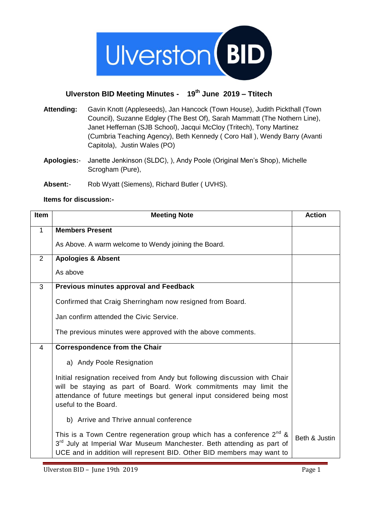

## **Ulverston BID Meeting Minutes - 19th June 2019 – Ttitech**

- **Attending:** Gavin Knott (Appleseeds), Jan Hancock (Town House), Judith Pickthall (Town Council), Suzanne Edgley (The Best Of), Sarah Mammatt (The Nothern Line), Janet Heffernan (SJB School), Jacqui McCloy (Tritech), Tony Martinez (Cumbria Teaching Agency), Beth Kennedy ( Coro Hall ), Wendy Barry (Avanti Capitola), Justin Wales (PO)
- **Apologies:** Janette Jenkinson (SLDC), ), Andy Poole (Original Men's Shop), Michelle Scrogham (Pure),
- **Absent:** Rob Wyatt (Siemens), Richard Butler ( UVHS).

## **Items for discussion:-**

| Item           | <b>Meeting Note</b>                                                                                                                                                                                                                             | <b>Action</b> |
|----------------|-------------------------------------------------------------------------------------------------------------------------------------------------------------------------------------------------------------------------------------------------|---------------|
| $\mathbf{1}$   | <b>Members Present</b>                                                                                                                                                                                                                          |               |
|                | As Above. A warm welcome to Wendy joining the Board.                                                                                                                                                                                            |               |
| $\overline{2}$ | <b>Apologies &amp; Absent</b>                                                                                                                                                                                                                   |               |
|                | As above                                                                                                                                                                                                                                        |               |
| 3              | <b>Previous minutes approval and Feedback</b>                                                                                                                                                                                                   |               |
|                | Confirmed that Craig Sherringham now resigned from Board.                                                                                                                                                                                       |               |
|                | Jan confirm attended the Civic Service.                                                                                                                                                                                                         |               |
|                | The previous minutes were approved with the above comments.                                                                                                                                                                                     |               |
| 4              | <b>Correspondence from the Chair</b>                                                                                                                                                                                                            |               |
|                | a) Andy Poole Resignation                                                                                                                                                                                                                       |               |
|                | Initial resignation received from Andy but following discussion with Chair<br>will be staying as part of Board. Work commitments may limit the<br>attendance of future meetings but general input considered being most<br>useful to the Board. |               |
|                | b) Arrive and Thrive annual conference                                                                                                                                                                                                          |               |
|                | This is a Town Centre regeneration group which has a conference $2^{nd}$ &<br>3 <sup>rd</sup> July at Imperial War Museum Manchester. Beth attending as part of<br>UCE and in addition will represent BID. Other BID members may want to        | Beth & Justin |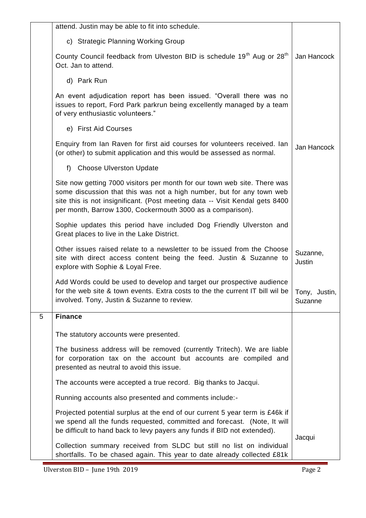|   | attend. Justin may be able to fit into schedule.                                                                                                                                                                                                                                                 |                          |
|---|--------------------------------------------------------------------------------------------------------------------------------------------------------------------------------------------------------------------------------------------------------------------------------------------------|--------------------------|
|   | c) Strategic Planning Working Group                                                                                                                                                                                                                                                              |                          |
|   | County Council feedback from Ulveston BID is schedule 19 <sup>th</sup> Aug or 28 <sup>th</sup><br>Oct. Jan to attend.                                                                                                                                                                            | Jan Hancock              |
|   | d) Park Run                                                                                                                                                                                                                                                                                      |                          |
|   | An event adjudication report has been issued. "Overall there was no<br>issues to report, Ford Park parkrun being excellently managed by a team<br>of very enthusiastic volunteers."                                                                                                              |                          |
|   | e) First Aid Courses                                                                                                                                                                                                                                                                             |                          |
|   | Enquiry from Ian Raven for first aid courses for volunteers received. Ian<br>(or other) to submit application and this would be assessed as normal.                                                                                                                                              | Jan Hancock              |
|   | f) Choose Ulverston Update                                                                                                                                                                                                                                                                       |                          |
|   | Site now getting 7000 visitors per month for our town web site. There was<br>some discussion that this was not a high number, but for any town web<br>site this is not insignificant. (Post meeting data -- Visit Kendal gets 8400<br>per month, Barrow 1300, Cockermouth 3000 as a comparison). |                          |
|   | Sophie updates this period have included Dog Friendly Ulverston and<br>Great places to live in the Lake District.                                                                                                                                                                                |                          |
|   | Other issues raised relate to a newsletter to be issued from the Choose<br>site with direct access content being the feed. Justin & Suzanne to<br>explore with Sophie & Loyal Free.                                                                                                              | Suzanne,<br>Justin       |
|   | Add Words could be used to develop and target our prospective audience<br>for the web site & town events. Extra costs to the the current IT bill wil be<br>involved. Tony, Justin & Suzanne to review.                                                                                           | Tony, Justin,<br>Suzanne |
| 5 | <b>Finance</b>                                                                                                                                                                                                                                                                                   |                          |
|   | The statutory accounts were presented.                                                                                                                                                                                                                                                           |                          |
|   | The business address will be removed (currently Tritech). We are liable<br>for corporation tax on the account but accounts are compiled and<br>presented as neutral to avoid this issue.                                                                                                         |                          |
|   | The accounts were accepted a true record. Big thanks to Jacqui.                                                                                                                                                                                                                                  |                          |
|   | Running accounts also presented and comments include:-                                                                                                                                                                                                                                           |                          |
|   | Projected potential surplus at the end of our current 5 year term is £46k if<br>we spend all the funds requested, committed and forecast. (Note, It will<br>be difficult to hand back to levy payers any funds if BID not extended).                                                             |                          |
|   | Collection summary received from SLDC but still no list on individual<br>shortfalls. To be chased again. This year to date already collected £81k                                                                                                                                                | Jacqui                   |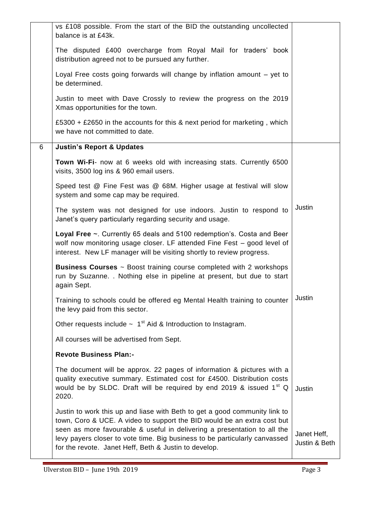|   | vs £108 possible. From the start of the BID the outstanding uncollected                                                                                                                                                                                                                                                                                                  |                              |
|---|--------------------------------------------------------------------------------------------------------------------------------------------------------------------------------------------------------------------------------------------------------------------------------------------------------------------------------------------------------------------------|------------------------------|
|   | balance is at £43k.                                                                                                                                                                                                                                                                                                                                                      |                              |
|   | The disputed £400 overcharge from Royal Mail for traders' book<br>distribution agreed not to be pursued any further.                                                                                                                                                                                                                                                     |                              |
|   | Loyal Free costs going forwards will change by inflation amount $-$ yet to<br>be determined.                                                                                                                                                                                                                                                                             |                              |
|   | Justin to meet with Dave Crossly to review the progress on the 2019<br>Xmas opportunities for the town.                                                                                                                                                                                                                                                                  |                              |
|   | £5300 + £2650 in the accounts for this & next period for marketing, which<br>we have not committed to date.                                                                                                                                                                                                                                                              |                              |
| 6 | <b>Justin's Report &amp; Updates</b>                                                                                                                                                                                                                                                                                                                                     |                              |
|   | Town Wi-Fi- now at 6 weeks old with increasing stats. Currently 6500<br>visits, 3500 log ins & 960 email users.                                                                                                                                                                                                                                                          |                              |
|   | Speed test @ Fine Fest was @ 68M. Higher usage at festival will slow<br>system and some cap may be required.                                                                                                                                                                                                                                                             |                              |
|   | The system was not designed for use indoors. Justin to respond to<br>Janet's query particularly regarding security and usage.                                                                                                                                                                                                                                            | Justin                       |
|   | Loyal Free ~. Currently 65 deals and 5100 redemption's. Costa and Beer<br>wolf now monitoring usage closer. LF attended Fine Fest - good level of<br>interest. New LF manager will be visiting shortly to review progress.                                                                                                                                               |                              |
|   | <b>Business Courses</b> $\sim$ Boost training course completed with 2 workshops<br>run by Suzanne. . Nothing else in pipeline at present, but due to start<br>again Sept.                                                                                                                                                                                                |                              |
|   | Training to schools could be offered eg Mental Health training to counter<br>the levy paid from this sector.                                                                                                                                                                                                                                                             | Justin                       |
|   | Other requests include $\sim 1^{st}$ Aid & Introduction to Instagram.                                                                                                                                                                                                                                                                                                    |                              |
|   | All courses will be advertised from Sept.                                                                                                                                                                                                                                                                                                                                |                              |
|   | <b>Revote Business Plan:-</b>                                                                                                                                                                                                                                                                                                                                            |                              |
|   | The document will be approx. 22 pages of information & pictures with a<br>quality executive summary. Estimated cost for £4500. Distribution costs<br>would be by SLDC. Draft will be required by end 2019 & issued $1st$ Q<br>2020.                                                                                                                                      | Justin                       |
|   | Justin to work this up and liase with Beth to get a good community link to<br>town, Coro & UCE. A video to support the BID would be an extra cost but<br>seen as more favourable & useful in delivering a presentation to all the<br>levy payers closer to vote time. Big business to be particularly canvassed<br>for the revote. Janet Heff, Beth & Justin to develop. | Janet Heff,<br>Justin & Beth |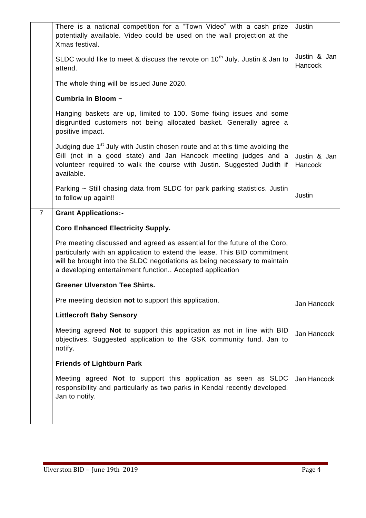|                | There is a national competition for a "Town Video" with a cash prize<br>potentially available. Video could be used on the wall projection at the<br>Xmas festival.                                                                                                                              | Justin                  |
|----------------|-------------------------------------------------------------------------------------------------------------------------------------------------------------------------------------------------------------------------------------------------------------------------------------------------|-------------------------|
|                | SLDC would like to meet & discuss the revote on 10 <sup>th</sup> July. Justin & Jan to<br>attend.                                                                                                                                                                                               | Justin & Jan<br>Hancock |
|                | The whole thing will be issued June 2020.                                                                                                                                                                                                                                                       |                         |
|                | Cumbria in Bloom ~                                                                                                                                                                                                                                                                              |                         |
|                | Hanging baskets are up, limited to 100. Some fixing issues and some<br>disgruntled customers not being allocated basket. Generally agree a<br>positive impact.                                                                                                                                  |                         |
|                | Judging due 1 <sup>st</sup> July with Justin chosen route and at this time avoiding the<br>Gill (not in a good state) and Jan Hancock meeting judges and a<br>volunteer required to walk the course with Justin. Suggested Judith if<br>available.                                              | Justin & Jan<br>Hancock |
|                | Parking ~ Still chasing data from SLDC for park parking statistics. Justin<br>to follow up again!!                                                                                                                                                                                              | Justin                  |
| $\overline{7}$ | <b>Grant Applications:-</b>                                                                                                                                                                                                                                                                     |                         |
|                |                                                                                                                                                                                                                                                                                                 |                         |
|                | <b>Coro Enhanced Electricity Supply.</b>                                                                                                                                                                                                                                                        |                         |
|                | Pre meeting discussed and agreed as essential for the future of the Coro,<br>particularly with an application to extend the lease. This BID commitment<br>will be brought into the SLDC negotiations as being necessary to maintain<br>a developing entertainment function Accepted application |                         |
|                | <b>Greener Ulverston Tee Shirts.</b>                                                                                                                                                                                                                                                            |                         |
|                | Pre meeting decision not to support this application.                                                                                                                                                                                                                                           | Jan Hancock             |
|                | <b>Littlecroft Baby Sensory</b>                                                                                                                                                                                                                                                                 |                         |
|                | Meeting agreed Not to support this application as not in line with BID<br>objectives. Suggested application to the GSK community fund. Jan to<br>notify.                                                                                                                                        | Jan Hancock             |
|                | <b>Friends of Lightburn Park</b>                                                                                                                                                                                                                                                                |                         |
|                | Meeting agreed <b>Not</b> to support this application as seen as SLDC<br>responsibility and particularly as two parks in Kendal recently developed.<br>Jan to notify.                                                                                                                           | Jan Hancock             |